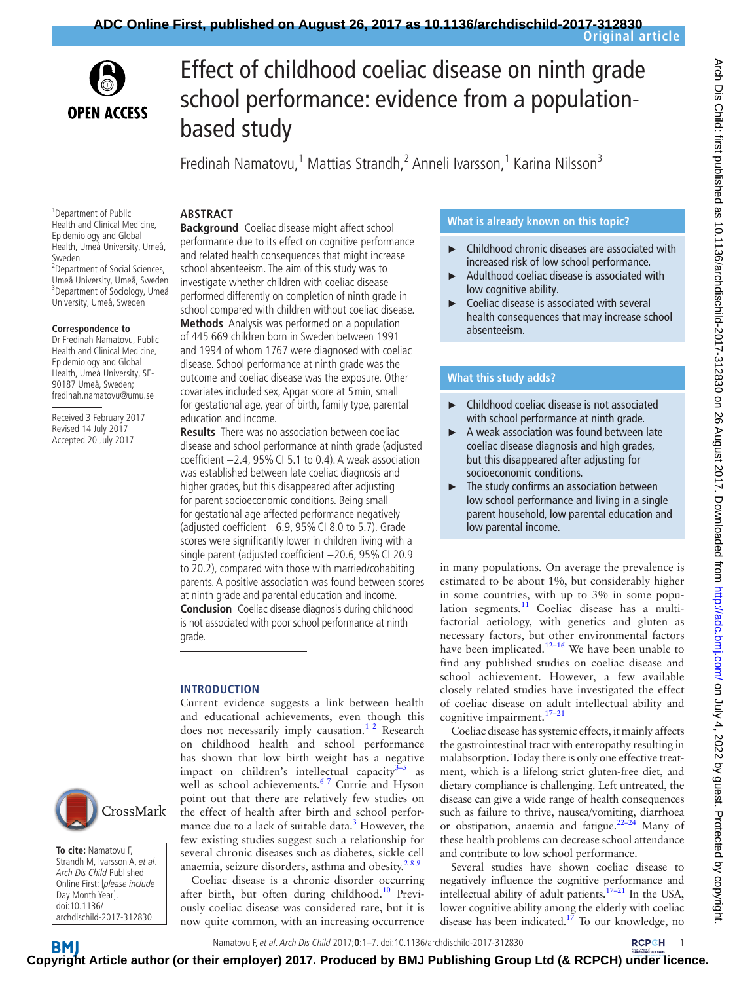



# Effect of childhood coeliac disease on ninth grade school performance: evidence from a populationbased study

Fredinah Namatovu,<sup>1</sup> Mattias Strandh,<sup>2</sup> Anneli Ivarsson,<sup>1</sup> Karina Nilsson<sup>3</sup>

#### **Abstract**

<sup>1</sup>Department of Public Health and Clinical Medicine, Epidemiology and Global Health, Umeå University, Umeå, Sweden

<sup>2</sup> Department of Social Sciences, Umeå University, Umeå, Sweden 3 Department of Sociology, Umeå University, Umeå, Sweden

#### **Correspondence to**

Dr Fredinah Namatovu, Public Health and Clinical Medicine, Epidemiology and Global Health, Umeå University, SE-90187 Umeå, Sweden; fredinah.namatovu@umu.se

Received 3 February 2017 Revised 14 July 2017 Accepted 20 July 2017



Strandh M, Ivarsson A, et al. Arch Dis Child Published Online First: [please include Day Month Year]. doi:10.1136/ archdischild-2017-312830

**Background** Coeliac disease might affect school performance due to its effect on cognitive performance and related health consequences that might increase school absenteeism. The aim of this study was to investigate whether children with coeliac disease performed differently on completion of ninth grade in school compared with children without coeliac disease.

**Methods** Analysis was performed on a population of 445 669 children born in Sweden between 1991 and 1994 of whom 1767 were diagnosed with coeliac disease. School performance at ninth grade was the outcome and coeliac disease was the exposure. Other covariates included sex, Apgar score at 5min, small for gestational age, year of birth, family type, parental education and income.

**Results** There was no association between coeliac disease and school performance at ninth grade (adjusted coefficient −2.4, 95%CI 5.1 to 0.4). A weak association was established between late coeliac diagnosis and higher grades, but this disappeared after adjusting for parent socioeconomic conditions. Being small for gestational age affected performance negatively (adjusted coefficient −6.9, 95%CI 8.0 to 5.7). Grade scores were significantly lower in children living with a single parent (adjusted coefficient -20.6, 95% CI 20.9 to 20.2), compared with those with married/cohabiting parents. A positive association was found between scores at ninth grade and parental education and income. **Conclusion** Coeliac disease diagnosis during childhood is not associated with poor school performance at ninth grade.

## **Introduction**

Current evidence suggests a link between health and educational achievements, even though this does not necessarily imply causation.<sup>12</sup> Research on childhood health and school performance has shown that low birth weight has a negative impact on children's intellectual capacity $3-5$  as well as school achievements.<sup>67</sup> Currie and Hyson point out that there are relatively few studies on the effect of health after birth and school performance due to a lack of suitable data.<sup>3</sup> However, the few existing studies suggest such a relationship for several chronic diseases such as diabetes, sickle cell anaemia, seizure disorders, asthma and obesity. $285$ 

Coeliac disease is a chronic disorder occurring after birth, but often during childhood.<sup>10</sup> Previously coeliac disease was considered rare, but it is now quite common, with an increasing occurrence

### **What is already known on this topic?**

- Childhood chronic diseases are associated with increased risk of low school performance.
- ► Adulthood coeliac disease is associated with low cognitive ability.
- Coeliac disease is associated with several health consequences that may increase school absenteeism.

# **What this study adds?**

- ► Childhood coeliac disease is not associated with school performance at ninth grade.
- ► A weak association was found between late coeliac disease diagnosis and high grades, but this disappeared after adjusting for socioeconomic conditions.
- ► The study confirms an association between low school performance and living in a single parent household, low parental education and low parental income.

in many populations. On average the prevalence is estimated to be about 1%, but considerably higher in some countries, with up to 3% in some population segments. $11$  Coeliac disease has a multifactorial aetiology, with genetics and gluten as necessary factors, but other environmental factors have been implicated.<sup>12–16</sup> We have been unable to find any published studies on coeliac disease and school achievement. However, a few available closely related studies have investigated the effect of coeliac disease on adult intellectual ability and cognitive impairment.[17–21](#page-5-0)

Coeliac disease has systemic effects, it mainly affects the gastrointestinal tract with enteropathy resulting in malabsorption. Today there is only one effective treatment, which is a lifelong strict gluten-free diet, and dietary compliance is challenging. Left untreated, the disease can give a wide range of health consequences such as failure to thrive, nausea/vomiting, diarrhoea or obstipation, anaemia and fatigue. $22-24$  Many of these health problems can decrease school attendance and contribute to low school performance.

Several studies have shown coeliac disease to negatively influence the cognitive performance and intellectual ability of adult patients.<sup>17-21</sup> In the USA, lower cognitive ability among the elderly with coeliac disease has been indicated.<sup>[17](#page-5-0)</sup> To our knowledge, no

**To cite:** Namatovu F,

Namatovu F, et al. Arch Dis Child 2017;**0**:1–7. doi:10.1136/archdischild-2017-3128301 **Co[pyrigh](http://adc.bmj.com/)t Article author (or their employer) 2017. Produced by BMJ Publishing Group Ltd (& RCPCH) under licence.**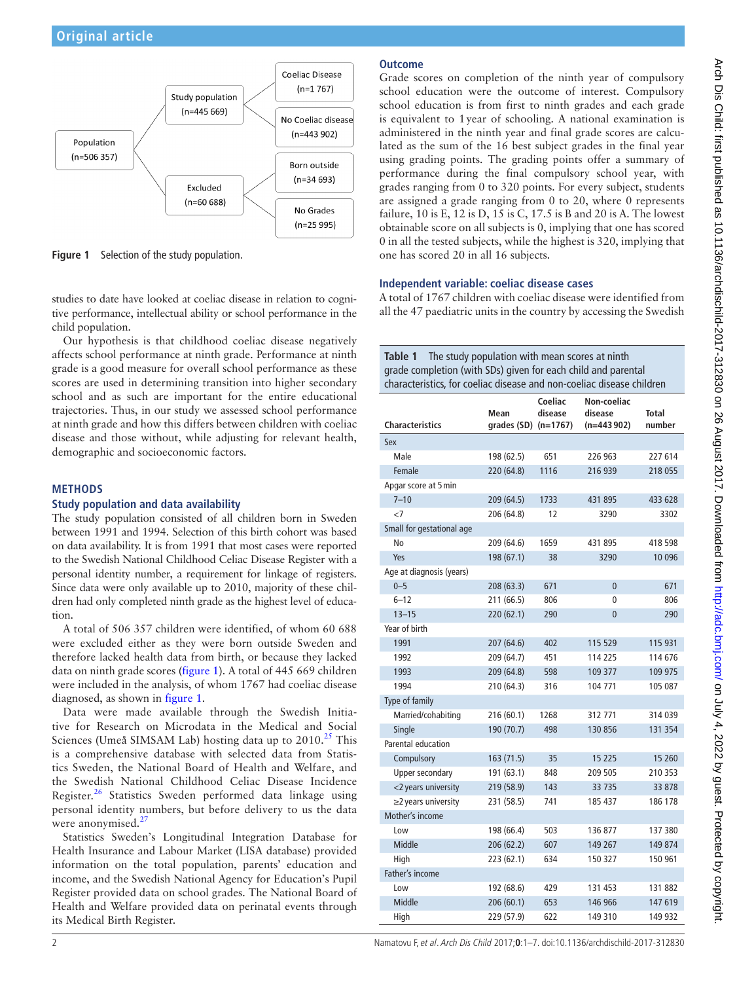

<span id="page-1-0"></span>**Figure 1** Selection of the study population.

studies to date have looked at coeliac disease in relation to cognitive performance, intellectual ability or school performance in the child population.

Our hypothesis is that childhood coeliac disease negatively affects school performance at ninth grade. Performance at ninth grade is a good measure for overall school performance as these scores are used in determining transition into higher secondary school and as such are important for the entire educational trajectories. Thus, in our study we assessed school performance at ninth grade and how this differs between children with coeliac disease and those without, while adjusting for relevant health, demographic and socioeconomic factors.

#### **Methods**

#### **Study population and data availability**

The study population consisted of all children born in Sweden between 1991 and 1994. Selection of this birth cohort was based on data availability. It is from 1991 that most cases were reported to the Swedish National Childhood Celiac Disease Register with a personal identity number, a requirement for linkage of registers. Since data were only available up to 2010, majority of these children had only completed ninth grade as the highest level of education.

A total of 506 357 children were identified, of whom 60 688 were excluded either as they were born outside Sweden and therefore lacked health data from birth, or because they lacked data on ninth grade scores [\(figure](#page-1-0) 1). A total of 445 669 children were included in the analysis, of whom 1767 had coeliac disease diagnosed, as shown in [figure](#page-1-0) 1.

Data were made available through the Swedish Initiative for Research on Microdata in the Medical and Social Sciences (Umeå SIMSAM Lab) hosting data up to  $2010<sup>25</sup>$  This is a comprehensive database with selected data from Statistics Sweden, the National Board of Health and Welfare, and the Swedish National Childhood Celiac Disease Incidence Register.<sup>26</sup> Statistics Sweden performed data linkage using personal identity numbers, but before delivery to us the data were anonymised.<sup>[27](#page-5-4)</sup>

Statistics Sweden's Longitudinal Integration Database for Health Insurance and Labour Market (LISA database) provided information on the total population, parents' education and income, and the Swedish National Agency for Education's Pupil Register provided data on school grades. The National Board of Health and Welfare provided data on perinatal events through its Medical Birth Register.

# **Outcome**

Grade scores on completion of the ninth year of compulsory school education were the outcome of interest. Compulsory school education is from first to ninth grades and each grade is equivalent to 1year of schooling. A national examination is administered in the ninth year and final grade scores are calculated as the sum of the 16 best subject grades in the final year using grading points. The grading points offer a summary of performance during the final compulsory school year, with grades ranging from 0 to 320 points. For every subject, students are assigned a grade ranging from 0 to 20, where 0 represents failure, 10 is E, 12 is D, 15 is C, 17.5 is B and 20 is A. The lowest obtainable score on all subjects is 0, implying that one has scored 0 in all the tested subjects, while the highest is 320, implying that one has scored 20 in all 16 subjects.

### **Independent variable: coeliac disease cases**

A total of 1767 children with coeliac disease were identified from all the 47 paediatric units in the country by accessing the Swedish

<span id="page-1-1"></span>**Table 1** The study population with mean scores at ninth grade completion (with SDs) given for each child and parental characteristics, for coeliac disease and non-coeliac disease children

| <b>Characteristics</b>    | Mean<br>grades $(SD)$ $(n=1767)$ | Coeliac<br>disease | Non-coeliac<br>disease<br>$(n=443902)$ | <b>Total</b><br>number |
|---------------------------|----------------------------------|--------------------|----------------------------------------|------------------------|
| Sex                       |                                  |                    |                                        |                        |
| Male                      | 198 (62.5)                       | 651                | 226 963                                | 227 614                |
| Female                    | 220 (64.8)                       | 1116               | 216 939                                | 218 055                |
| Apgar score at 5 min      |                                  |                    |                                        |                        |
| $7 - 10$                  | 209 (64.5)                       | 1733               | 431 895                                | 433 628                |
| $\leq$                    | 206 (64.8)                       | 12                 | 3290                                   | 3302                   |
| Small for gestational age |                                  |                    |                                        |                        |
| No                        | 209 (64.6)                       | 1659               | 431 895                                | 418 598                |
| Yes                       | 198 (67.1)                       | 38                 | 3290                                   | 10 0 96                |
| Age at diagnosis (years)  |                                  |                    |                                        |                        |
| $0 - 5$                   | 208 (63.3)                       | 671                | $\overline{0}$                         | 671                    |
| $6 - 12$                  | 211 (66.5)                       | 806                | 0                                      | 806                    |
| $13 - 15$                 | 220 (62.1)                       | 290                | $\overline{0}$                         | 290                    |
| Year of birth             |                                  |                    |                                        |                        |
| 1991                      | 207 (64.6)                       | 402                | 115 529                                | 115 931                |
| 1992                      | 209 (64.7)                       | 451                | 114 225                                | 114 676                |
| 1993                      | 209 (64.8)                       | 598                | 109 377                                | 109 975                |
| 1994                      | 210 (64.3)                       | 316                | 104 771                                | 105 087                |
| Type of family            |                                  |                    |                                        |                        |
| Married/cohabiting        | 216 (60.1)                       | 1268               | 312771                                 | 314 039                |
| Single                    | 190 (70.7)                       | 498                | 130 856                                | 131 354                |
| Parental education        |                                  |                    |                                        |                        |
| Compulsory                | 163 (71.5)                       | 35                 | 15 2 25                                | 15 260                 |
| Upper secondary           | 191 (63.1)                       | 848                | 209 505                                | 210 353                |
| <2 years university       | 219 (58.9)                       | 143                | 33 7 35                                | 33 878                 |
| $\geq$ 2 years university | 231 (58.5)                       | 741                | 185 437                                | 186 178                |
| Mother's income           |                                  |                    |                                        |                        |
| Low                       | 198 (66.4)                       | 503                | 136 877                                | 137 380                |
| Middle                    | 206 (62.2)                       | 607                | 149 267                                | 149 874                |
| High                      | 223 (62.1)                       | 634                | 150 327                                | 150 961                |
| Father's income           |                                  |                    |                                        |                        |
| Low                       | 192 (68.6)                       | 429                | 131 453                                | 131 882                |
| Middle                    | 206 (60.1)                       | 653                | 146 966                                | 147 619                |
| High                      | 229 (57.9)                       | 622                | 149 310                                | 149 932                |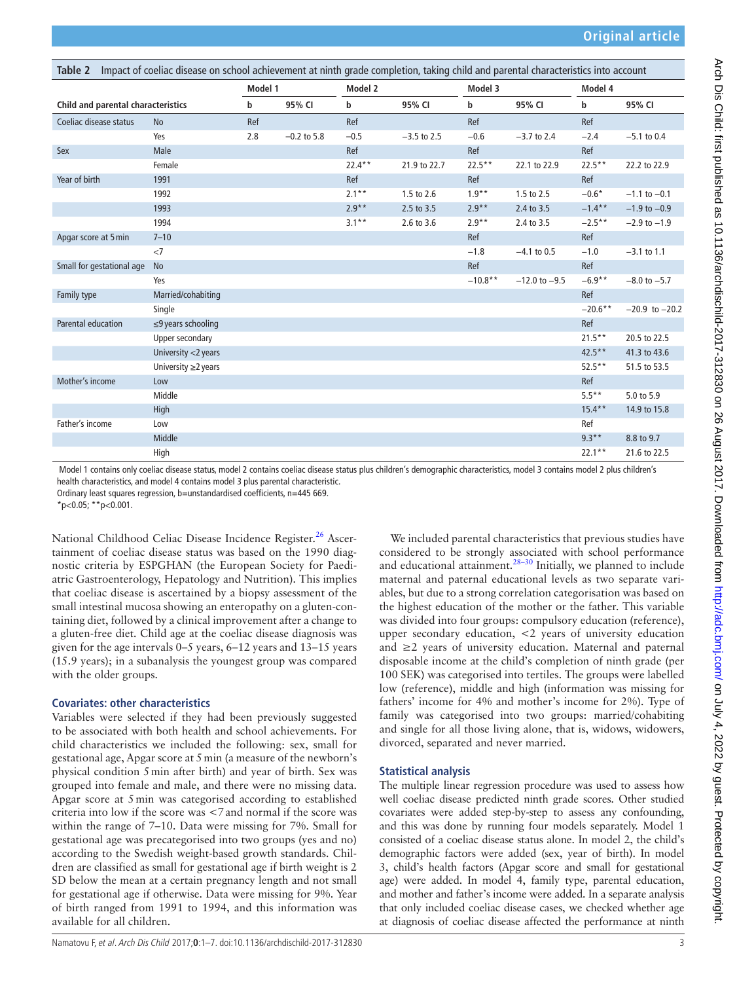<span id="page-2-0"></span>

| Impact of coeliac disease on school achievement at ninth grade completion, taking child and parental characteristics into account<br>Table 2 |                           |                    |               |           |               |           |                   |           |                    |
|----------------------------------------------------------------------------------------------------------------------------------------------|---------------------------|--------------------|---------------|-----------|---------------|-----------|-------------------|-----------|--------------------|
|                                                                                                                                              |                           | Model 1<br>Model 2 |               |           | Model 3       |           | Model 4           |           |                    |
| Child and parental characteristics                                                                                                           |                           | b                  | 95% CI        | b         | 95% CI        | b         | 95% CI            | b         | 95% CI             |
| Coeliac disease status                                                                                                                       | <b>No</b>                 | Ref                |               | Ref       |               | Ref       |                   | Ref       |                    |
|                                                                                                                                              | Yes                       | 2.8                | $-0.2$ to 5.8 | $-0.5$    | $-3.5$ to 2.5 | $-0.6$    | $-3.7$ to 2.4     | $-2.4$    | $-5.1$ to 0.4      |
| Sex                                                                                                                                          | Male                      |                    |               | Ref       |               | Ref       |                   | Ref       |                    |
|                                                                                                                                              | Female                    |                    |               | $22.4***$ | 21.9 to 22.7  | $22.5***$ | 22.1 to 22.9      | $22.5***$ | 22.2 to 22.9       |
| Year of birth                                                                                                                                | 1991                      |                    |               | Ref       |               | Ref       |                   | Ref       |                    |
|                                                                                                                                              | 1992                      |                    |               | $2.1***$  | 1.5 to 2.6    | $1.9**$   | 1.5 to 2.5        | $-0.6*$   | $-1.1$ to $-0.1$   |
|                                                                                                                                              | 1993                      |                    |               | $2.9**$   | 2.5 to 3.5    | $2.9**$   | 2.4 to 3.5        | $-1.4***$ | $-1.9$ to $-0.9$   |
|                                                                                                                                              | 1994                      |                    |               | $3.1***$  | 2.6 to 3.6    | $2.9**$   | 2.4 to 3.5        | $-2.5***$ | $-2.9$ to $-1.9$   |
| Apgar score at 5 min                                                                                                                         | $7 - 10$                  |                    |               |           |               | Ref       |                   | Ref       |                    |
|                                                                                                                                              | <7                        |                    |               |           |               | $-1.8$    | $-4.1$ to 0.5     | $-1.0$    | $-3.1$ to 1.1      |
| Small for gestational age                                                                                                                    | No                        |                    |               |           |               | Ref       |                   | Ref       |                    |
|                                                                                                                                              | Yes                       |                    |               |           |               | $-10.8**$ | $-12.0$ to $-9.5$ | $-6.9**$  | $-8.0$ to $-5.7$   |
| Family type                                                                                                                                  | Married/cohabiting        |                    |               |           |               |           |                   | Ref       |                    |
|                                                                                                                                              | Single                    |                    |               |           |               |           |                   | $-20.6**$ | $-20.9$ to $-20.2$ |
| Parental education                                                                                                                           | $\leq$ 9 years schooling  |                    |               |           |               |           |                   | Ref       |                    |
|                                                                                                                                              | Upper secondary           |                    |               |           |               |           |                   | $21.5***$ | 20.5 to 22.5       |
|                                                                                                                                              | University <2 years       |                    |               |           |               |           |                   | $42.5***$ | 41.3 to 43.6       |
|                                                                                                                                              | University $\geq$ 2 years |                    |               |           |               |           |                   | $52.5***$ | 51.5 to 53.5       |
| Mother's income                                                                                                                              | Low                       |                    |               |           |               |           |                   | Ref       |                    |
|                                                                                                                                              | Middle                    |                    |               |           |               |           |                   | $5.5***$  | 5.0 to 5.9         |
|                                                                                                                                              | High                      |                    |               |           |               |           |                   | $15.4***$ | 14.9 to 15.8       |
| Father's income                                                                                                                              | Low                       |                    |               |           |               |           |                   | Ref       |                    |
|                                                                                                                                              | Middle                    |                    |               |           |               |           |                   | $9.3***$  | 8.8 to 9.7         |
|                                                                                                                                              | High                      |                    |               |           |               |           |                   | $22.1***$ | 21.6 to 22.5       |

 Model 1 contains only coeliac disease status, model 2 contains coeliac disease status plus children's demographic characteristics, model 3 contains model 2 plus children's health characteristics, and model 4 contains model 3 plus parental characteristic.

Ordinary least squares regression, b=unstandardised coefficients, n=445 669.

 $*_{p<0.05;}$  \*\*p<0.001.

National Childhood Celiac Disease Incidence Register.<sup>26</sup> Ascertainment of coeliac disease status was based on the 1990 diagnostic criteria by ESPGHAN (the European Society for Paediatric Gastroenterology, Hepatology and Nutrition). This implies that coeliac disease is ascertained by a biopsy assessment of the small intestinal mucosa showing an enteropathy on a gluten-containing diet, followed by a clinical improvement after a change to a gluten-free diet. Child age at the coeliac disease diagnosis was given for the age intervals 0–5 years, 6–12 years and 13–15 years (15.9 years); in a subanalysis the youngest group was compared with the older groups.

#### **Covariates: other characteristics**

Variables were selected if they had been previously suggested to be associated with both health and school achievements. For child characteristics we included the following: sex, small for gestational age, Apgar score at 5min (a measure of the newborn's physical condition 5min after birth) and year of birth. Sex was grouped into female and male, and there were no missing data. Apgar score at 5min was categorised according to established criteria into low if the score was <7and normal if the score was within the range of 7–10. Data were missing for 7%. Small for gestational age was precategorised into two groups (yes and no) according to the Swedish weight-based growth standards. Children are classified as small for gestational age if birth weight is 2 SD below the mean at a certain pregnancy length and not small for gestational age if otherwise. Data were missing for 9%. Year of birth ranged from 1991 to 1994, and this information was available for all children.

We included parental characteristics that previous studies have considered to be strongly associated with school performance and educational attainment.<sup>28–30</sup> Initially, we planned to include maternal and paternal educational levels as two separate variables, but due to a strong correlation categorisation was based on the highest education of the mother or the father. This variable was divided into four groups: compulsory education (reference), upper secondary education, <2 years of university education and  $\geq$ 2 years of university education. Maternal and paternal disposable income at the child's completion of ninth grade (per 100 SEK) was categorised into tertiles. The groups were labelled low (reference), middle and high (information was missing for fathers' income for 4% and mother's income for 2%). Type of family was categorised into two groups: married/cohabiting and single for all those living alone, that is, widows, widowers, divorced, separated and never married.

# **Statistical analysis**

The multiple linear regression procedure was used to assess how well coeliac disease predicted ninth grade scores. Other studied covariates were added step-by-step to assess any confounding, and this was done by running four models separately. Model 1 consisted of a coeliac disease status alone. In model 2, the child's demographic factors were added (sex, year of birth). In model 3, child's health factors (Apgar score and small for gestational age) were added. In model 4, family type, parental education, and mother and father's income were added. In a separate analysis that only included coeliac disease cases, we checked whether age at diagnosis of coeliac disease affected the performance at ninth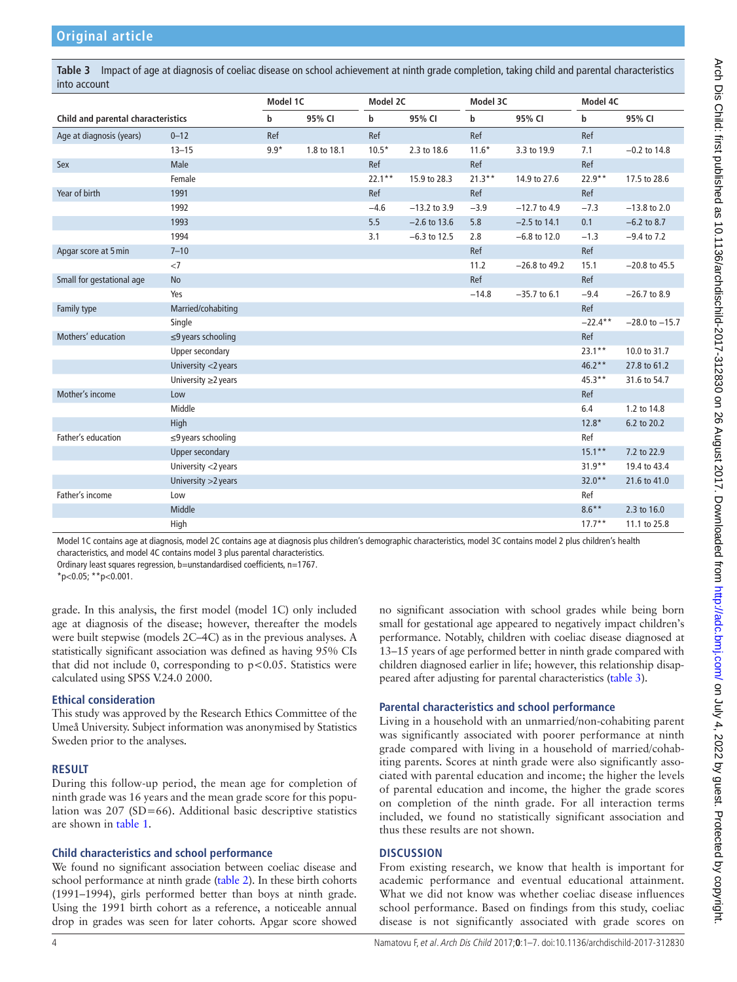<span id="page-3-0"></span>**Table 3** Impact of age at diagnosis of coeliac disease on school achievement at ninth grade completion, taking child and parental characteristics into account

|                                    |                          | Model 1C |             | Model 2C    |                | Model 3C  |                 | Model 4C    |                    |
|------------------------------------|--------------------------|----------|-------------|-------------|----------------|-----------|-----------------|-------------|--------------------|
| Child and parental characteristics |                          | b        | 95% CI      | $\mathbf b$ | 95% CI         | b         | 95% CI          | $\mathbf b$ | 95% CI             |
| Age at diagnosis (years)           | $0 - 12$                 | Ref      |             | Ref         |                | Ref       |                 | Ref         |                    |
|                                    | $13 - 15$                | $9.9*$   | 1.8 to 18.1 | $10.5*$     | 2.3 to 18.6    | $11.6*$   | 3.3 to 19.9     | 7.1         | $-0.2$ to 14.8     |
| Sex                                | Male                     |          |             | Ref         |                | Ref       |                 | Ref         |                    |
|                                    | Female                   |          |             | $22.1***$   | 15.9 to 28.3   | $21.3***$ | 14.9 to 27.6    | $22.9**$    | 17.5 to 28.6       |
| Year of birth                      | 1991                     |          |             | Ref         |                | Ref       |                 | Ref         |                    |
|                                    | 1992                     |          |             | $-4.6$      | $-13.2$ to 3.9 | $-3.9$    | $-12.7$ to 4.9  | $-7.3$      | $-13.8$ to 2.0     |
|                                    | 1993                     |          |             | 5.5         | $-2.6$ to 13.6 | 5.8       | $-2.5$ to 14.1  | 0.1         | $-6.2$ to 8.7      |
|                                    | 1994                     |          |             | 3.1         | $-6.3$ to 12.5 | 2.8       | $-6.8$ to 12.0  | $-1.3$      | $-9.4$ to 7.2      |
| Apgar score at 5 min               | $7 - 10$                 |          |             |             |                | Ref       |                 | Ref         |                    |
|                                    | <7                       |          |             |             |                | 11.2      | $-26.8$ to 49.2 | 15.1        | $-20.8$ to 45.5    |
| Small for gestational age          | No                       |          |             |             |                | Ref       |                 | Ref         |                    |
|                                    | Yes                      |          |             |             |                | $-14.8$   | $-35.7$ to 6.1  | $-9.4$      | $-26.7$ to 8.9     |
| Family type                        | Married/cohabiting       |          |             |             |                |           |                 | Ref         |                    |
|                                    | Single                   |          |             |             |                |           |                 | $-22.4***$  | $-28.0$ to $-15.7$ |
| Mothers' education                 | $\leq$ 9 years schooling |          |             |             |                |           |                 | Ref         |                    |
|                                    | Upper secondary          |          |             |             |                |           |                 | $23.1***$   | 10.0 to 31.7       |
|                                    | University <2 years      |          |             |             |                |           |                 | $46.2**$    | 27.8 to 61.2       |
|                                    | University ≥2 years      |          |             |             |                |           |                 | $45.3**$    | 31.6 to 54.7       |
| Mother's income                    | Low                      |          |             |             |                |           |                 | Ref         |                    |
|                                    | Middle                   |          |             |             |                |           |                 | 6.4         | 1.2 to 14.8        |
|                                    | High                     |          |             |             |                |           |                 | $12.8*$     | 6.2 to 20.2        |
| Father's education                 | $\leq$ 9 years schooling |          |             |             |                |           |                 | Ref         |                    |
|                                    | <b>Upper secondary</b>   |          |             |             |                |           |                 | $15.1***$   | 7.2 to 22.9        |
|                                    | University <2 years      |          |             |             |                |           |                 | $31.9**$    | 19.4 to 43.4       |
|                                    | University > 2 years     |          |             |             |                |           |                 | $32.0**$    | 21.6 to 41.0       |
| Father's income                    | Low                      |          |             |             |                |           |                 | Ref         |                    |
|                                    | Middle                   |          |             |             |                |           |                 | $8.6***$    | 2.3 to 16.0        |
|                                    | High                     |          |             |             |                |           |                 | $17.7**$    | 11.1 to 25.8       |

Model 1C contains age at diagnosis, model 2C contains age at diagnosis plus children's demographic characteristics, model 3C contains model 2 plus children's health characteristics, and model 4C contains model 3 plus parental characteristics.

Ordinary least squares regression, b=unstandardised coefficients, n=1767.

 $*p<0.05$ ;  $*p<0.001$ .

grade. In this analysis, the first model (model 1C) only included age at diagnosis of the disease; however, thereafter the models were built stepwise (models 2C–4C) as in the previous analyses. A statistically significant association was defined as having 95% CIs that did not include 0, corresponding to  $p < 0.05$ . Statistics were calculated using SPSS V.24.0 2000.

# **Ethical consideration**

This study was approved by the Research Ethics Committee of the Umeå University. Subject information was anonymised by Statistics Sweden prior to the analyses.

# **Result**

During this follow-up period, the mean age for completion of ninth grade was 16 years and the mean grade score for this population was 207 (SD=66). Additional basic descriptive statistics are shown in [table](#page-1-1) 1.

#### **Child characteristics and school performance**

We found no significant association between coeliac disease and school performance at ninth grade ([table](#page-2-0) 2). In these birth cohorts (1991–1994), girls performed better than boys at ninth grade. Using the 1991 birth cohort as a reference, a noticeable annual drop in grades was seen for later cohorts. Apgar score showed

no significant association with school grades while being born small for gestational age appeared to negatively impact children's performance. Notably, children with coeliac disease diagnosed at 13–15 years of age performed better in ninth grade compared with children diagnosed earlier in life; however, this relationship disappeared after adjusting for parental characteristics [\(table](#page-3-0) 3).

# **Parental characteristics and school performance**

Living in a household with an unmarried/non-cohabiting parent was significantly associated with poorer performance at ninth grade compared with living in a household of married/cohabiting parents. Scores at ninth grade were also significantly associated with parental education and income; the higher the levels of parental education and income, the higher the grade scores on completion of the ninth grade. For all interaction terms included, we found no statistically significant association and thus these results are not shown.

#### **Discussion**

From existing research, we know that health is important for academic performance and eventual educational attainment. What we did not know was whether coeliac disease influences school performance. Based on findings from this study, coeliac disease is not significantly associated with grade scores on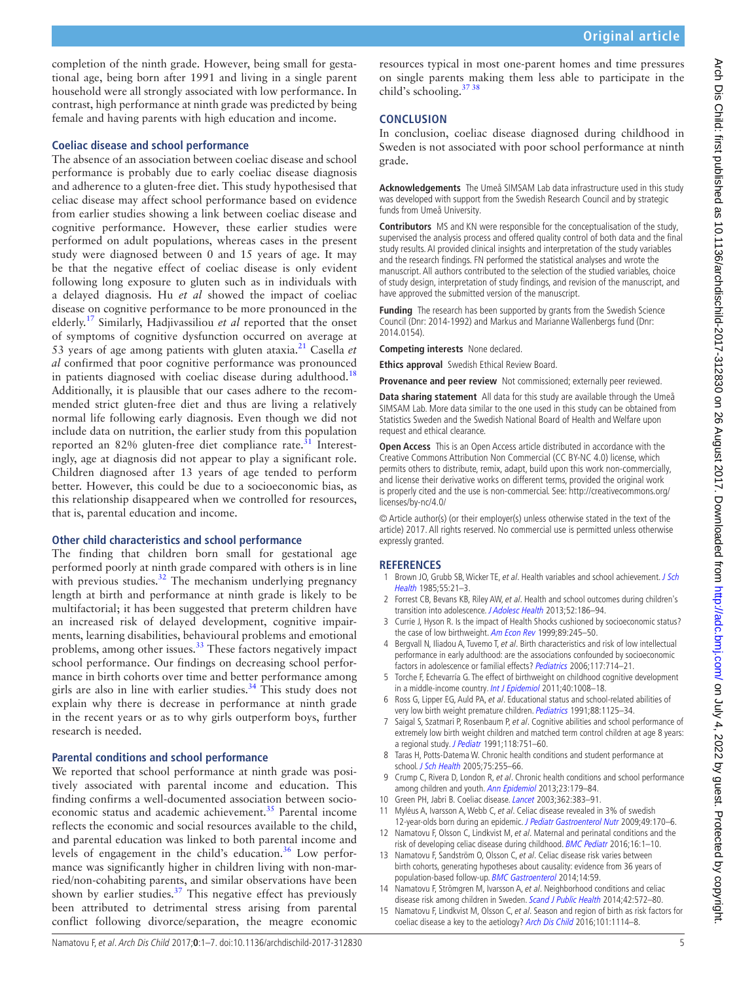completion of the ninth grade. However, being small for gestational age, being born after 1991 and living in a single parent household were all strongly associated with low performance. In contrast, high performance at ninth grade was predicted by being female and having parents with high education and income.

### **Coeliac disease and school performance**

The absence of an association between coeliac disease and school performance is probably due to early coeliac disease diagnosis and adherence to a gluten-free diet. This study hypothesised that celiac disease may affect school performance based on evidence from earlier studies showing a link between coeliac disease and cognitive performance. However, these earlier studies were performed on adult populations, whereas cases in the present study were diagnosed between 0 and 15 years of age. It may be that the negative effect of coeliac disease is only evident following long exposure to gluten such as in individuals with a delayed diagnosis. Hu *et al* showed the impact of coeliac disease on cognitive performance to be more pronounced in the elderly.[17](#page-5-0) Similarly, Hadjivassiliou *et al* reported that the onset of symptoms of cognitive dysfunction occurred on average at 53 years of age among patients with gluten ataxia[.21](#page-5-6) Casella *et al* confirmed that poor cognitive performance was pronounced in patients diagnosed with coeliac disease during adulthood.<sup>[18](#page-5-7)</sup> Additionally, it is plausible that our cases adhere to the recommended strict gluten-free diet and thus are living a relatively normal life following early diagnosis. Even though we did not include data on nutrition, the earlier study from this population reported an  $82\%$  gluten-free diet compliance rate.<sup>[31](#page-5-8)</sup> Interestingly, age at diagnosis did not appear to play a significant role. Children diagnosed after 13 years of age tended to perform better. However, this could be due to a socioeconomic bias, as this relationship disappeared when we controlled for resources, that is, parental education and income.

# **Other child characteristics and school performance**

The finding that children born small for gestational age performed poorly at ninth grade compared with others is in line with previous studies.<sup>32</sup> The mechanism underlying pregnancy length at birth and performance at ninth grade is likely to be multifactorial; it has been suggested that preterm children have an increased risk of delayed development, cognitive impairments, learning disabilities, behavioural problems and emotional problems, among other issues.<sup>33</sup> These factors negatively impact school performance. Our findings on decreasing school performance in birth cohorts over time and better performance among girls are also in line with earlier studies. $34$  This study does not explain why there is decrease in performance at ninth grade in the recent years or as to why girls outperform boys, further research is needed.

#### **Parental conditions and school performance**

We reported that school performance at ninth grade was positively associated with parental income and education. This finding confirms a well-documented association between socioeconomic status and academic achievement.<sup>35</sup> Parental income reflects the economic and social resources available to the child, and parental education was linked to both parental income and levels of engagement in the child's education.<sup>36</sup> Low performance was significantly higher in children living with non-married/non-cohabiting parents, and similar observations have been shown by earlier studies. $37$  This negative effect has previously been attributed to detrimental stress arising from parental conflict following divorce/separation, the meagre economic

resources typical in most one-parent homes and time pressures on single parents making them less able to participate in the child's schooling[.37 38](#page-5-14)

# **Conclusion**

In conclusion, coeliac disease diagnosed during childhood in Sweden is not associated with poor school performance at ninth grade.

**Acknowledgements** The Umeå SIMSAM Lab data infrastructure used in this study was developed with support from the Swedish Research Council and by strategic funds from Umeå University.

**Contributors** MS and KN were responsible for the conceptualisation of the study, supervised the analysis process and offered quality control of both data and the final study results. AI provided clinical insights and interpretation of the study variables and the research findings. FN performed the statistical analyses and wrote the manuscript. All authors contributed to the selection of the studied variables, choice of study design, interpretation of study findings, and revision of the manuscript, and have approved the submitted version of the manuscript.

**Funding** The research has been supported by grants from the Swedish Science Council (Dnr: 2014-1992) and Markus and Marianne Wallenbergs fund (Dnr: 2014.0154).

**Competing interests** None declared.

**Ethics approval** Swedish Ethical Review Board.

**Provenance and peer review** Not commissioned; externally peer reviewed.

**Data sharing statement** All data for this study are available through the Umeå SIMSAM Lab. More data similar to the one used in this study can be obtained from Statistics Sweden and the Swedish National Board of Health and Welfare upon request and ethical clearance.

**Open Access** This is an Open Access article distributed in accordance with the Creative Commons Attribution Non Commercial (CC BY-NC 4.0) license, which permits others to distribute, remix, adapt, build upon this work non-commercially, and license their derivative works on different terms, provided the original work is properly cited and the use is non-commercial. See: [http://creativecommons.org/](http://creativecommons.org/licenses/by-nc/4.0/) [licenses/by-nc/4.0/](http://creativecommons.org/licenses/by-nc/4.0/)

© Article author(s) (or their employer(s) unless otherwise stated in the text of the article) 2017. All rights reserved. No commercial use is permitted unless otherwise expressly granted.

# **References**

- <span id="page-4-0"></span>1 Brown JO, Grubb SB, Wicker TE, et al. Health variables and school achievement. J Sch [Health](http://dx.doi.org/10.1111/j.1746-1561.1985.tb04068.x) 1985;55:21–3.
- <span id="page-4-3"></span>2 Forrest CB, Bevans KB, Riley AW, et al. Health and school outcomes during children's transition into adolescence. [J Adolesc Health](http://dx.doi.org/10.1016/j.jadohealth.2012.06.019) 2013;52:186-94.
- <span id="page-4-1"></span>3 Currie J, Hyson R. Is the impact of Health Shocks cushioned by socioeconomic status? the case of low birthweight. [Am Econ Rev](http://dx.doi.org/10.1257/aer.89.2.245) 1999;89:245-50.
- 4 Bergvall N, Iliadou A, Tuvemo T, et al. Birth characteristics and risk of low intellectual performance in early adulthood: are the associations confounded by socioeconomic factors in adolescence or familial effects? [Pediatrics](http://dx.doi.org/10.1542/peds.2005-0735) 2006;117:714-21.
- 5 Torche F, Echevarría G. The effect of birthweight on childhood cognitive development in a middle-income country. [Int J Epidemiol](http://dx.doi.org/10.1093/ije/dyr030) 2011;40:1008-18.
- <span id="page-4-2"></span>6 Ross G, Lipper EG, Auld PA, et al. Educational status and school-related abilities of very low birth weight premature children. Pediatrics 1991;88:1125-34.
- 7 Saigal S, Szatmari P, Rosenbaum P, et al. Cognitive abilities and school performance of extremely low birth weight children and matched term control children at age 8 years: a regional study. [J Pediatr](http://dx.doi.org/10.1016/S0022-3476(05)80043-5) 1991:118:751-60.
- 8 Taras H, Potts-Datema W. Chronic health conditions and student performance at school. [J Sch Health](http://dx.doi.org/10.1111/j.1746-1561.2005.00034.x) 2005;75:255–66.
- 9 Crump C, Rivera D, London R, et al. Chronic health conditions and school performance among children and youth. [Ann Epidemiol](http://dx.doi.org/10.1016/j.annepidem.2013.01.001) 2013;23:179–84.
- <span id="page-4-4"></span>10 Green PH, Jabri B. Coeliac disease. [Lancet](http://dx.doi.org/10.1016/S0140-6736(03)14027-5) 2003;362:383-91.
- <span id="page-4-5"></span>11 Myléus A, Ivarsson A, Webb C, et al. Celiac disease revealed in 3% of swedish 12-year-olds born during an epidemic. [J Pediatr Gastroenterol Nutr](http://dx.doi.org/10.1097/MPG.0b013e31818c52cc) 2009;49:170-6.
- <span id="page-4-6"></span>12 Namatovu F, Olsson C, Lindkvist M, et al. Maternal and perinatal conditions and the risk of developing celiac disease during childhood. [BMC Pediatr](http://dx.doi.org/10.1186/s12887-016-0613-y) 2016;16:1-10.
- 13 Namatovu F, Sandström O, Olsson C, et al. Celiac disease risk varies between birth cohorts, generating hypotheses about causality: evidence from 36 years of population-based follow-up. [BMC Gastroenterol](http://dx.doi.org/10.1186/1471-230X-14-59) 2014;14:59.
- 14 Namatovu F, Strömgren M, Ivarsson A, et al. Neighborhood conditions and celiac disease risk among children in Sweden. [Scand J Public Health](http://dx.doi.org/10.1177/1403494814550173) 2014;42:572-80.
- 15 Namatovu F, Lindkvist M, Olsson C, et al. Season and region of birth as risk factors for coeliac disease a key to the aetiology? [Arch Dis Child](http://dx.doi.org/10.1136/archdischild-2015-310122) 2016;101:1114-8.